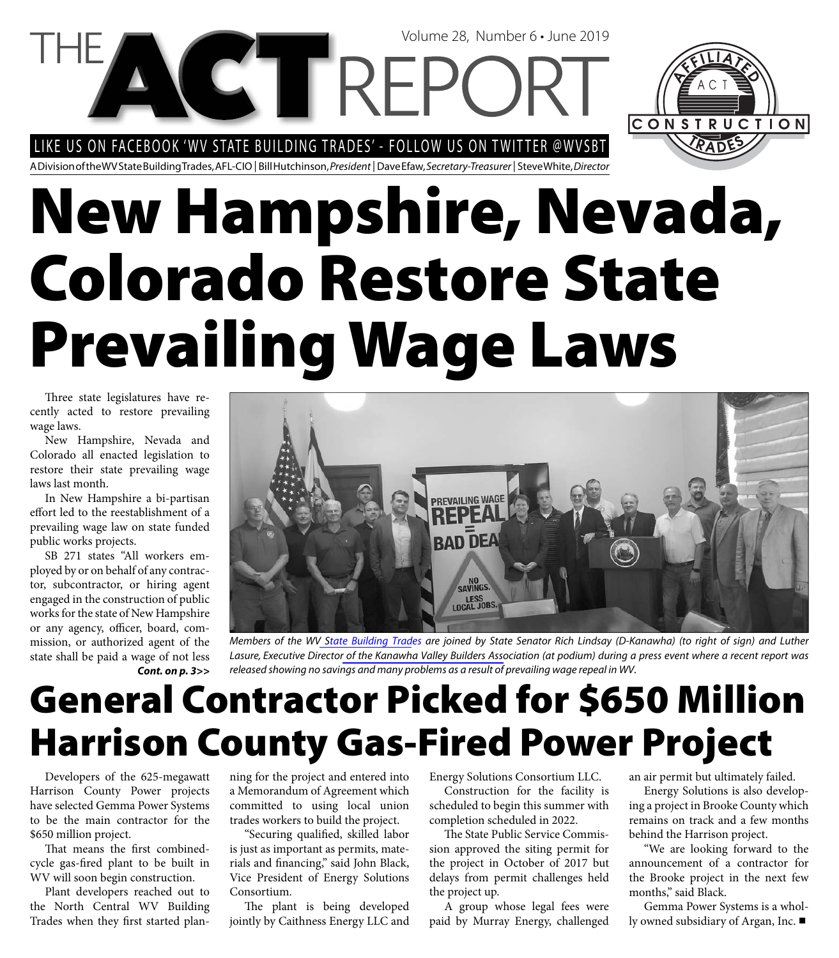Volume 28, Number 6 • June 2019

LIKE US ON FACEBOOK 'WV STATE BUILDING TRADES' - FOLLOW US ON TWITTER @WVSBT

**COTREP** 



A Division of the WV State Building Trades, AFL-CIO | Bill Hutchinson, President | Dave Efaw, Secretary-Treasurer | Steve White, Director

# **New Hampshire, Nevada, Colorado Restore State Prevailing Wage Laws**

Three state legislatures have recently acted to restore prevailing wage laws.

New Hampshire, Nevada and Colorado all enacted legislation to restore their state prevailing wage laws last month.

In New Hampshire a bi-partisan effort led to the reestablishment of a prevailing wage law on state funded public works projects.

SB 271 states "All workers employed by or on behalf of any contractor, subcontractor, or hiring agent engaged in the construction of public works for the state of New Hampshire or any agency, officer, board, commission, or authorized agent of the state shall be paid a wage of not less *Cont. on p. 3>>*



Members of the W[V State Building Trad](http://www.wvsbt.org)es are joined by State Senator Rich Lindsay (D-Kanawha) (to right of sign) and Luther Lasure, Executive Directo[r of the Kanawha Valley Builders Asso](www.kvba.com/)ciation (at podium) during a press event where a recent report was released showing no savings and many problems as a result of prevailing wage repeal in WV.

# **General Contractor Picked for \$650 Million Harrison County Gas-Fired Power Project**

Developers of the 625-megawatt Harrison County Power projects have selected Gemma Power Systems to be the main contractor for the \$650 million project.

That means the first combinedcycle gas-fired plant to be built in WV will soon begin construction.

Plant developers reached out to the North Central WV Building Trades when they first started planning for the project and entered into a Memorandum of Agreement which committed to using local union trades workers to build the project.

"Securing qualified, skilled labor is just as important as permits, materials and financing," said John Black, Vice President of Energy Solutions Consortium.

The plant is being developed jointly by Caithness Energy LLC and Energy Solutions Consortium LLC.

Construction for the facility is scheduled to begin this summer with completion scheduled in 2022.

The State Public Service Commission approved the siting permit for the project in October of 2017 but delays from permit challenges held the project up.

A group whose legal fees were paid by Murray Energy, challenged

an air permit but ultimately failed.

Energy Solutions is also developing a project in Brooke County which remains on track and a few months behind the Harrison project.

"We are looking forward to the announcement of a contractor for the Brooke project in the next few months," said Black.

Gemma Power Systems is a wholly owned subsidiary of Argan, Inc.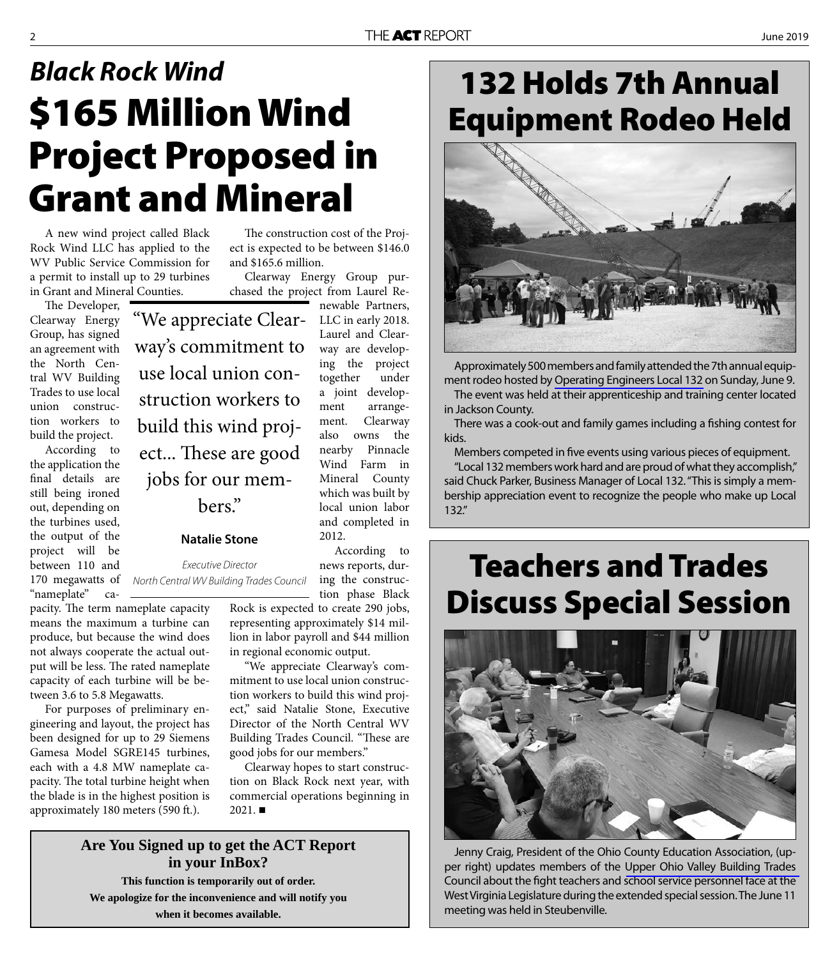# **\$165 Million Wind Project Proposed in Grant and Mineral** *Black Rock Wind*

A new wind project called Black Rock Wind LLC has applied to the WV Public Service Commission for a permit to install up to 29 turbines in Grant and Mineral Counties.

The Developer, Clearway Energy Group, has signed an agreement with the North Central WV Building Trades to use local union construction workers to build the project.

According to the application the final details are still being ironed out, depending on the turbines used, the output of the project will be between 110 and "nameplate" ca-

pacity. The term nameplate capacity means the maximum a turbine can produce, but because the wind does not always cooperate the actual output will be less. The rated nameplate capacity of each turbine will be between 3.6 to 5.8 Megawatts.

For purposes of preliminary engineering and layout, the project has been designed for up to 29 Siemens Gamesa Model SGRE145 turbines, each with a 4.8 MW nameplate capacity. The total turbine height when the blade is in the highest position is approximately 180 meters (590 ft.).

The construction cost of the Project is expected to be between \$146.0 and \$165.6 million.

Clearway Energy Group purchased the project from Laurel Renewable Partners,

"We appreciate Clearway's commitment to use local union construction workers to build this wind project... These are good jobs for our members."

#### **Natalie Stone**

170 megawatts of North Central WV Building Trades Council ing the construc-Executive Director

Laurel and Clearway are developing the project together under a joint development arrangement. Clearway also owns the nearby Pinnacle Wind Farm in Mineral County which was built by local union labor and completed in 2012. According to

LLC in early 2018.

news reports, durtion phase Black

Rock is expected to create 290 jobs, representing approximately \$14 million in labor payroll and \$44 million in regional economic output.

"We appreciate Clearway's commitment to use local union construction workers to build this wind project," said Natalie Stone, Executive Director of the North Central WV Building Trades Council. "These are good jobs for our members."

Clearway hopes to start construction on Black Rock next year, with commercial operations beginning in  $2021.$ 

### **Are You Signed up to get the ACT Report in your InBox? This function is temporarily out of order. We apologize for the inconvenience and will notify you when it becomes available.**

### **132 Holds 7th Annual Equipment Rodeo Held**



Approximately 500 members and family attended the 7th annual equipment rodeo hosted by [Operating Engineers Local 132](www.iuoe132.org/) on Sunday, June 9.

The event was held at their apprenticeship and training center located in Jackson County.

There was a cook-out and family games including a fishing contest for kids.

Members competed in five events using various pieces of equipment.

"Local 132 members work hard and are proud of what they accomplish," said Chuck Parker, Business Manager of Local 132. "This is simply a membership appreciation event to recognize the people who make up Local 132."

### **Teachers and Trades Discuss Special Session**



Jenny Craig, President of the Ohio County Education Association, (upper right) updates members of the [Upper Ohio Valley Building Trades](http://www.ovbtc.us/)  Council about the fight teachers and school service personnel face at the West Virginia Legislature during the extended special session. The June 11 meeting was held in Steubenville.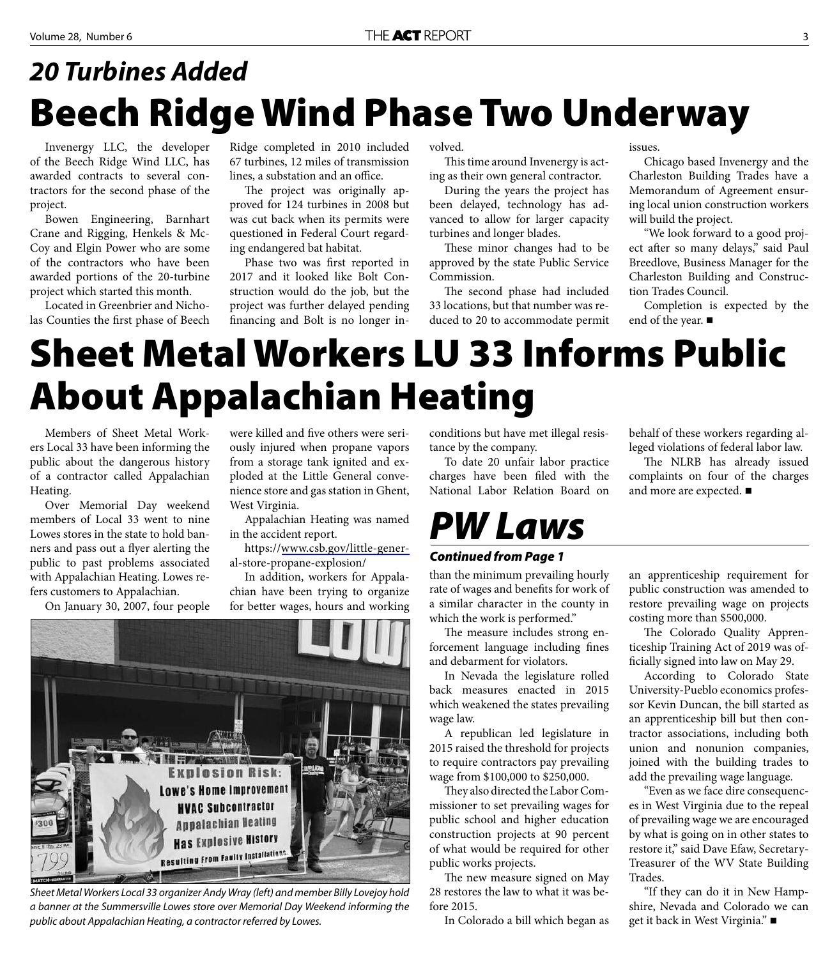# **Beech Ridge Wind Phase Two Underway** *20 Turbines Added*

Invenergy LLC, the developer of the Beech Ridge Wind LLC, has awarded contracts to several contractors for the second phase of the project.

Bowen Engineering, Barnhart Crane and Rigging, Henkels & Mc-Coy and Elgin Power who are some of the contractors who have been awarded portions of the 20-turbine project which started this month.

Located in Greenbrier and Nicholas Counties the first phase of Beech

Ridge completed in 2010 included 67 turbines, 12 miles of transmission lines, a substation and an office.

The project was originally approved for 124 turbines in 2008 but was cut back when its permits were questioned in Federal Court regarding endangered bat habitat.

Phase two was first reported in 2017 and it looked like Bolt Construction would do the job, but the project was further delayed pending financing and Bolt is no longer in-

volved.

This time around Invenergy is acting as their own general contractor.

During the years the project has been delayed, technology has advanced to allow for larger capacity turbines and longer blades.

These minor changes had to be approved by the state Public Service Commission.

The second phase had included 33 locations, but that number was reduced to 20 to accommodate permit issues.

Chicago based Invenergy and the Charleston Building Trades have a Memorandum of Agreement ensuring local union construction workers will build the project.

"We look forward to a good project after so many delays," said Paul Breedlove, Business Manager for the Charleston Building and Construction Trades Council.

Completion is expected by the end of the year. ■

# **Sheet Metal Workers LU 33 Informs Public About Appalachian Heating**

Members of Sheet Metal Workers Local 33 have been informing the public about the dangerous history of a contractor called Appalachian Heating.

Over Memorial Day weekend members of Local 33 went to nine Lowes stores in the state to hold banners and pass out a flyer alerting the public to past problems associated with Appalachian Heating. Lowes refers customers to Appalachian.

On January 30, 2007, four people

were killed and five others were seriously injured when propane vapors from a storage tank ignited and exploded at the Little General convenience store and gas station in Ghent, West Virginia.

Appalachian Heating was named in the accident report.

https://[www.csb.gov/little-gener](www.csb.gov/little-general-store-propane-explosion/)al-store-propane-explosion/

In addition, workers for Appalachian have been trying to organize for better wages, hours and working



Sheet Metal Workers Local 33 organizer Andy Wray (left) and member Billy Lovejoy hold a banner at the Summersville Lowes store over Memorial Day Weekend informing the public about Appalachian Heating, a contractor referred by Lowes.

conditions but have met illegal resistance by the company.

To date 20 unfair labor practice charges have been filed with the National Labor Relation Board on

# *PW Laws*

#### *Continued from Page 1*

than the minimum prevailing hourly rate of wages and benefits for work of a similar character in the county in which the work is performed."

The measure includes strong enforcement language including fines and debarment for violators.

In Nevada the legislature rolled back measures enacted in 2015 which weakened the states prevailing wage law.

A republican led legislature in 2015 raised the threshold for projects to require contractors pay prevailing wage from \$100,000 to \$250,000.

They also directed the Labor Commissioner to set prevailing wages for public school and higher education construction projects at 90 percent of what would be required for other public works projects.

The new measure signed on May 28 restores the law to what it was before 2015.

In Colorado a bill which began as

behalf of these workers regarding alleged violations of federal labor law.

The NLRB has already issued complaints on four of the charges and more are expected.

an apprenticeship requirement for public construction was amended to restore prevailing wage on projects costing more than \$500,000.

The Colorado Quality Apprenticeship Training Act of 2019 was officially signed into law on May 29.

According to Colorado State University-Pueblo economics professor Kevin Duncan, the bill started as an apprenticeship bill but then contractor associations, including both union and nonunion companies, joined with the building trades to add the prevailing wage language.

"Even as we face dire consequences in West Virginia due to the repeal of prevailing wage we are encouraged by what is going on in other states to restore it," said Dave Efaw, Secretary-Treasurer of the WV State Building Trades.

"If they can do it in New Hampshire, Nevada and Colorado we can get it back in West Virginia."